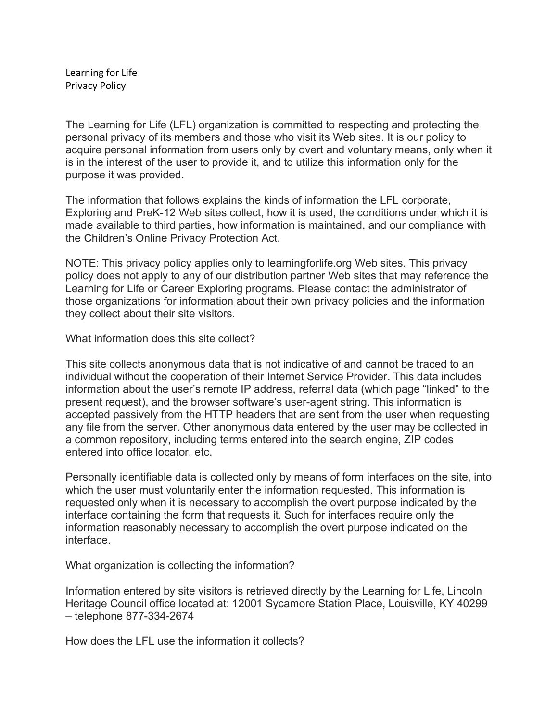Learning for Life Privacy Policy

The Learning for Life (LFL) organization is committed to respecting and protecting the personal privacy of its members and those who visit its Web sites. It is our policy to acquire personal information from users only by overt and voluntary means, only when it is in the interest of the user to provide it, and to utilize this information only for the purpose it was provided.

The information that follows explains the kinds of information the LFL corporate, Exploring and PreK-12 Web sites collect, how it is used, the conditions under which it is made available to third parties, how information is maintained, and our compliance with the Children's Online Privacy Protection Act.

NOTE: This privacy policy applies only to learningforlife.org Web sites. This privacy policy does not apply to any of our distribution partner Web sites that may reference the Learning for Life or Career Exploring programs. Please contact the administrator of those organizations for information about their own privacy policies and the information they collect about their site visitors.

What information does this site collect?

This site collects anonymous data that is not indicative of and cannot be traced to an individual without the cooperation of their Internet Service Provider. This data includes information about the user's remote IP address, referral data (which page "linked" to the present request), and the browser software's user-agent string. This information is accepted passively from the HTTP headers that are sent from the user when requesting any file from the server. Other anonymous data entered by the user may be collected in a common repository, including terms entered into the search engine, ZIP codes entered into office locator, etc.

Personally identifiable data is collected only by means of form interfaces on the site, into which the user must voluntarily enter the information requested. This information is requested only when it is necessary to accomplish the overt purpose indicated by the interface containing the form that requests it. Such for interfaces require only the information reasonably necessary to accomplish the overt purpose indicated on the interface.

What organization is collecting the information?

Information entered by site visitors is retrieved directly by the Learning for Life, Lincoln Heritage Council office located at: 12001 Sycamore Station Place, Louisville, KY 40299 – telephone 877-334-2674

How does the LFL use the information it collects?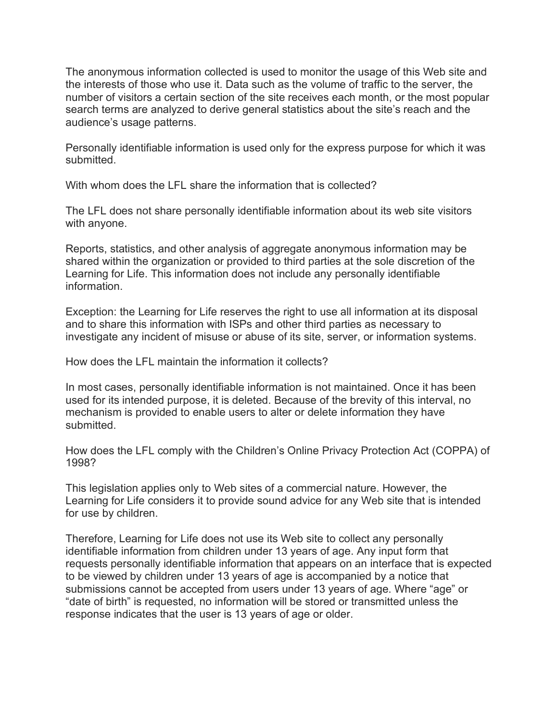The anonymous information collected is used to monitor the usage of this Web site and the interests of those who use it. Data such as the volume of traffic to the server, the number of visitors a certain section of the site receives each month, or the most popular search terms are analyzed to derive general statistics about the site's reach and the audience's usage patterns.

Personally identifiable information is used only for the express purpose for which it was submitted.

With whom does the LFL share the information that is collected?

The LFL does not share personally identifiable information about its web site visitors with anyone.

Reports, statistics, and other analysis of aggregate anonymous information may be shared within the organization or provided to third parties at the sole discretion of the Learning for Life. This information does not include any personally identifiable information.

Exception: the Learning for Life reserves the right to use all information at its disposal and to share this information with ISPs and other third parties as necessary to investigate any incident of misuse or abuse of its site, server, or information systems.

How does the LFL maintain the information it collects?

In most cases, personally identifiable information is not maintained. Once it has been used for its intended purpose, it is deleted. Because of the brevity of this interval, no mechanism is provided to enable users to alter or delete information they have submitted.

How does the LFL comply with the Children's Online Privacy Protection Act (COPPA) of 1998?

This legislation applies only to Web sites of a commercial nature. However, the Learning for Life considers it to provide sound advice for any Web site that is intended for use by children.

Therefore, Learning for Life does not use its Web site to collect any personally identifiable information from children under 13 years of age. Any input form that requests personally identifiable information that appears on an interface that is expected to be viewed by children under 13 years of age is accompanied by a notice that submissions cannot be accepted from users under 13 years of age. Where "age" or "date of birth" is requested, no information will be stored or transmitted unless the response indicates that the user is 13 years of age or older.